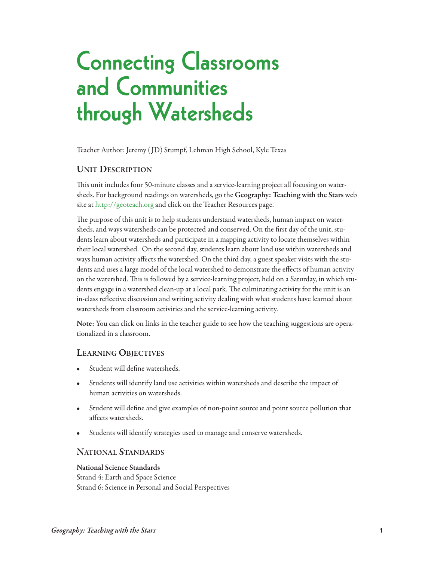# **Connecting Classrooms and Communities through Watersheds**

Teacher Author: Jeremy ( JD) Stumpf, Lehman High School, Kyle Texas

### **Unit Description**

This unit includes four 50-minute classes and a service-learning project all focusing on watersheds. For background readings on watersheds, go the **Geography: teaching with the stars** web site at <http://geoteach.org> and click on the Teacher Resources page.

The purpose of this unit is to help students understand watersheds, human impact on watersheds, and ways watersheds can be protected and conserved. On the first day of the unit, students learn about watersheds and participate in a mapping activity to locate themselves within their local watershed. On the second day, students learn about land use within watersheds and ways human activity affects the watershed. On the third day, a guest speaker visits with the students and uses a large model of the local watershed to demonstrate the effects of human activity on the watershed. This is followed by a service-learning project, held on a Saturday, in which students engage in a watershed clean-up at a local park. The culminating activity for the unit is an in-class reflective discussion and writing activity dealing with what students have learned about watersheds from classroom activities and the service-learning activity.

**note:** You can click on links in the teacher guide to see how the teaching suggestions are operationalized in a classroom.

### **LearninG objectives**

- Student will define watersheds.
- Students will identify land use activities within watersheds and describe the impact of human activities on watersheds.
- Student will define and give examples of non-point source and point source pollution that affects watersheds.
- Students will identify strategies used to manage and conserve watersheds.

#### **nationaL stanDarDs**

**national science standards** Strand 4: Earth and Space Science Strand 6: Science in Personal and Social Perspectives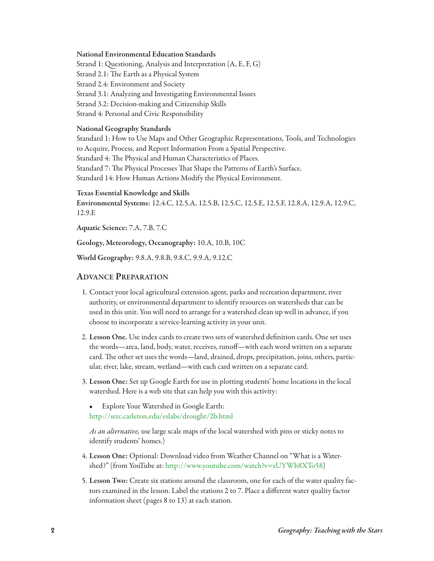#### **national environmental education standards**

Strand 1: Questioning, Analysis and Interpretation (A, E, F, G) Strand 2.1: The Earth as a Physical System Strand 2.4: Environment and Society Strand 3.1: Analyzing and Investigating Environmental Issues Strand 3.2: Decision-making and Citizenship Skills Strand 4: Personal and Civic Responsibility

#### **national Geography standards**

Standard 1: How to Use Maps and Other Geographic Representations, Tools, and Technologies to Acquire, Process, and Report Information From a Spatial Perspective. Standard 4: The Physical and Human Characteristics of Places. Standard 7: The Physical Processes That Shape the Patterns of Earth's Surface. Standard 14: How Human Actions Modify the Physical Environment.

#### **texas essential Knowledge and skills**

**environmental systems:** 12.4.C, 12.5.A, 12.5.B, 12.5.C, 12.5.E, 12.5.F, 12.8.A, 12.9.A, 12.9.C, 12.9.E

**aquatic science:** 7.A, 7.B, 7.C

**Geology, Meteorology, oceanography:** 10.A, 10.B, 10C

**World Geography:** 9.8.A, 9.8.B, 9.8.C, 9.9.A, 9.12.C

#### **aDvance preparation**

- 1. Contact your local agricultural extension agent, parks and recreation department, river authority, or environmental department to identify resources on watersheds that can be used in this unit. You will need to arrange for a watershed clean up well in advance, if you choose to incorporate a service-learning activity in your unit.
- 2. **Lesson one.** Use index cards to create two sets of watershed definition cards. One set uses the words—area, land, body, water, receives, runoff—with each word written on a separate card. The other set uses the words—land, drained, drops, precipitation, joins, others, particular, river, lake, stream, wetland—with each card written on a separate card.
- 3. **Lesson one:** Set up Google Earth for use in plotting students' home locations in the local watershed. Here is a web site that can help you with this activity:
	- Explore Your Watershed in Google Earth: <http://serc.carleton.edu/eslabs/drought/2b.html>

As an alternative, use large scale maps of the local watershed with pins or sticky notes to identify students' homes.)

- 4. **Lesson one:** Optional: Download video from Weather Channel on "What is a Watershed?" (from YouTube at: [http://www.youtube.com/watch?v=xUYWb8XTo58\)](http://www.youtube.com/watch?v=xUYWb8XTo58)
- 5. **Lesson two:** Create six stations around the classroom, one for each of the water quality factors examined in the lesson. Label the stations 2 to 7. Place a different water quality factor information sheet (pages 8 to 13) at each station.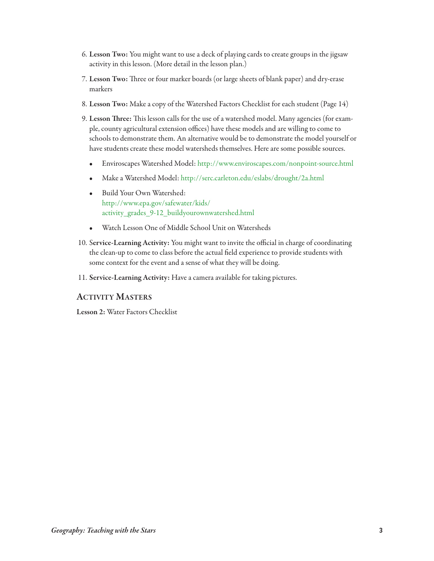- 6. **Lesson two:** You might want to use a deck of playing cards to create groups in the jigsaw activity in this lesson. (More detail in the lesson plan.)
- 7. Lesson Two: Three or four marker boards (or large sheets of blank paper) and dry-erase markers
- 8. **Lesson two:** Make a copy of the Watershed Factors Checklist for each student (Page 14)
- 9. Lesson Three: This lesson calls for the use of a watershed model. Many agencies (for example, county agricultural extension offices) have these models and are willing to come to schools to demonstrate them. An alternative would be to demonstrate the model yourself or have students create these model watersheds themselves. Here are some possible sources.
	- Enviroscapes Watershed Model: <http://www.enviroscapes.com/nonpoint-source.html>
	- Make a Watershed Model: [http://serc.carleton.edu/eslabs/drought/2a.html](http://serc.carleton.edu/eslabs/drought/2b.html)
	- Build Your Own Watershed: [http://www.epa.gov/safewater/kids/](http://www.epa.gov/safewater/kids/activity_grades_9-12_buildyourownwatershed.html) [activity\\_grades\\_9-12\\_buildyourownwatershed.html](http://www.epa.gov/safewater/kids/activity_grades_9-12_buildyourownwatershed.html)
	- Watch Lesson One of Middle School Unit on Watersheds
- 10. S**ervice-Learning activity:** You might want to invite the official in charge of coordinating the clean-up to come to class before the actual field experience to provide students with some context for the event and a sense of what they will be doing.
- 11. **service-Learning activity:** Have a camera available for taking pictures.

### **activity Masters**

**Lesson 2:** Water Factors Checklist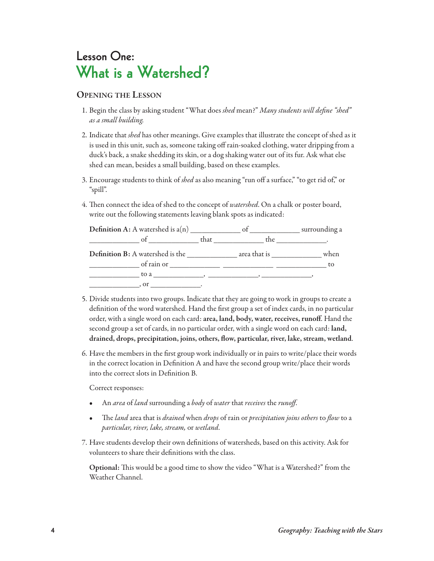### **Lesson One: What is a Watershed?**

### **openinG the Lesson**

- 1. Begin the class by asking student "What does shed mean?" Many students will define "shed" as a small building.
- 2. Indicate that shed has other meanings. Give examples that illustrate the concept of shed as it is used in this unit, such as, someone taking off rain-soaked clothing, water dripping from a duck's back, a snake shedding its skin, or a dog shaking water out of its fur. Ask what else shed can mean, besides a small building, based on these examples.
- 3. Encourage students to think of shed as also meaning "run off a surface," "to get rid of," or "spill".
- 4. Then connect the idea of shed to the concept of watershed. On a chalk or poster board, write out the following statements leaving blank spots as indicated:

| <b>Definition A:</b> A watershed is $a(n)$ | of   |              | surrounding a |
|--------------------------------------------|------|--------------|---------------|
| of                                         | that | the          |               |
| <b>Definition B:</b> A watershed is the    |      | area that is | when          |
| of rain or                                 |      |              | to            |
|                                            |      |              |               |
| . or                                       |      |              |               |

- 5. Divide students into two groups. Indicate that they are going to work in groups to create a definition of the word watershed. Hand the first group a set of index cards, in no particular order, with a single word on each card: **area, land, body, water, receives, runoff**. Hand the second group a set of cards, in no particular order, with a single word on each card: **land, drained, drops, precipitation, joins, others, flow, particular, river, lake, stream, wetland**.
- 6. Have the members in the first group work individually or in pairs to write/place their words in the correct location in Definition A and have the second group write/place their words into the correct slots in Definition B.

Correct responses:

- An area of land surrounding a body of water that receives the runoff.
- The land area that is drained when drops of rain or precipitation joins others to flow to a particular, river, lake, stream, or wetland.
- 7. Have students develop their own definitions of watersheds, based on this activity. Ask for volunteers to share their definitions with the class.

Optional: This would be a good time to show the video "What is a Watershed?" from the Weather Channel.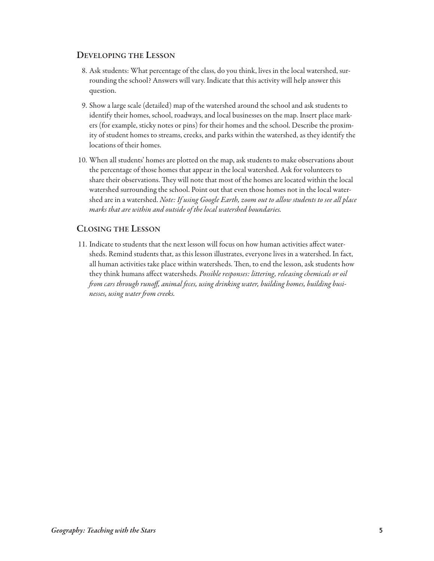### **DeveLopinG the Lesson**

- 8. Ask students: What percentage of the class, do you think, lives in the local watershed, surrounding the school? Answers will vary. Indicate that this activity will help answer this question.
- 9. Show a large scale (detailed) map of the watershed around the school and ask students to identify their homes, school, roadways, and local businesses on the map. Insert place markers (for example, sticky notes or pins) for their homes and the school. Describe the proximity of student homes to streams, creeks, and parks within the watershed, as they identify the locations of their homes.
- 10. When all students' homes are plotted on the map, ask students to make observations about the percentage of those homes that appear in the local watershed. Ask for volunteers to share their observations. They will note that most of the homes are located within the local watershed surrounding the school. Point out that even those homes not in the local watershed are in a watershed. Note: If using Google Earth, zoom out to allow students to see all place marks that are within and outside of the local watershed boundaries.

### **cLosinG the Lesson**

11. Indicate to students that the next lesson will focus on how human activities affect watersheds. Remind students that, as this lesson illustrates, everyone lives in a watershed. In fact, all human activities take place within watersheds. Then, to end the lesson, ask students how they think humans affect watersheds. Possible responses: littering, releasing chemicals or oil from cars through runoff, animal feces, using drinking water, building homes, building businesses, using water from creeks.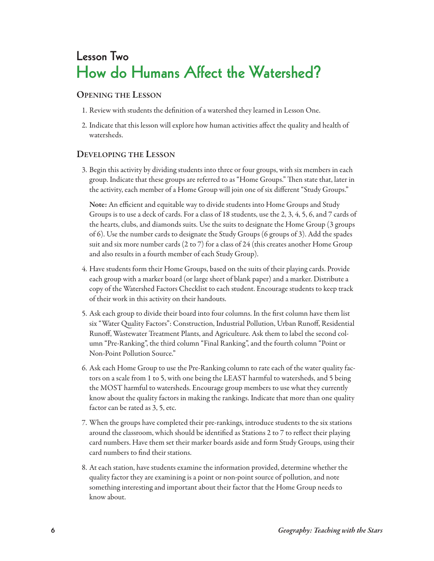## **Lesson Two How do Humans Affect the Watershed?**

### **openinG the Lesson**

- 1. Review with students the definition of a watershed they learned in Lesson One.
- 2. Indicate that this lesson will explore how human activities affect the quality and health of watersheds.

### **DeveLopinG the Lesson**

3. Begin this activity by dividing students into three or four groups, with six members in each group. Indicate that these groups are referred to as "Home Groups." Then state that, later in the activity, each member of a Home Group will join one of six different "Study Groups."

**note:** An efficient and equitable way to divide students into Home Groups and Study Groups is to use a deck of cards. For a class of 18 students, use the 2, 3, 4, 5, 6, and 7 cards of the hearts, clubs, and diamonds suits. Use the suits to designate the Home Group (3 groups of 6). Use the number cards to designate the Study Groups (6 groups of 3). Add the spades suit and six more number cards (2 to 7) for a class of 24 (this creates another Home Group and also results in a fourth member of each Study Group).

- 4. Have students form their Home Groups, based on the suits of their playing cards. Provide each group with a marker board (or large sheet of blank paper) and a marker. Distribute a copy of the Watershed Factors Checklist to each student. Encourage students to keep track of their work in this activity on their handouts.
- 5. Ask each group to divide their board into four columns. In the first column have them list six "Water Quality Factors": Construction, Industrial Pollution, Urban Runoff, Residential Runoff, Wastewater Treatment Plants, and Agriculture. Ask them to label the second column "Pre-Ranking", the third column "Final Ranking", and the fourth column "Point or Non-Point Pollution Source."
- 6. Ask each Home Group to use the Pre-Ranking column to rate each of the water quality factors on a scale from 1 to 5, with one being the LEAST harmful to watersheds, and 5 being the MOST harmful to watersheds. Encourage group members to use what they currently know about the quality factors in making the rankings. Indicate that more than one quality factor can be rated as 3, 5, etc.
- 7. When the groups have completed their pre-rankings, introduce students to the six stations around the classroom, which should be identified as Stations 2 to 7 to reflect their playing card numbers. Have them set their marker boards aside and form Study Groups, using their card numbers to find their stations.
- 8. At each station, have students examine the information provided, determine whether the quality factor they are examining is a point or non-point source of pollution, and note something interesting and important about their factor that the Home Group needs to know about.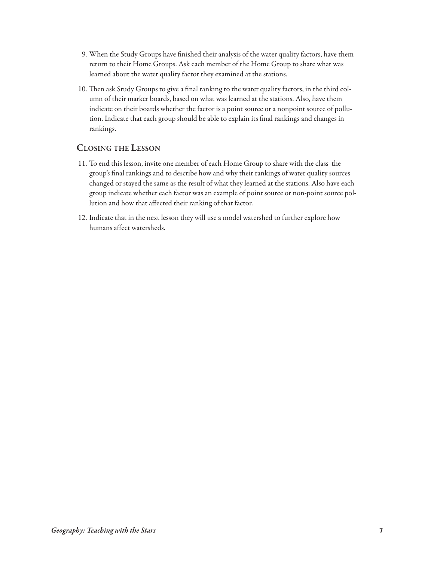- 9. When the Study Groups have finished their analysis of the water quality factors, have them return to their Home Groups. Ask each member of the Home Group to share what was learned about the water quality factor they examined at the stations.
- 10. Then ask Study Groups to give a final ranking to the water quality factors, in the third column of their marker boards, based on what was learned at the stations. Also, have them indicate on their boards whether the factor is a point source or a nonpoint source of pollution. Indicate that each group should be able to explain its final rankings and changes in rankings.

### **cLosinG the Lesson**

- 11. To end this lesson, invite one member of each Home Group to share with the class the group's final rankings and to describe how and why their rankings of water quality sources changed or stayed the same as the result of what they learned at the stations. Also have each group indicate whether each factor was an example of point source or non-point source pollution and how that affected their ranking of that factor.
- 12. Indicate that in the next lesson they will use a model watershed to further explore how humans affect watersheds.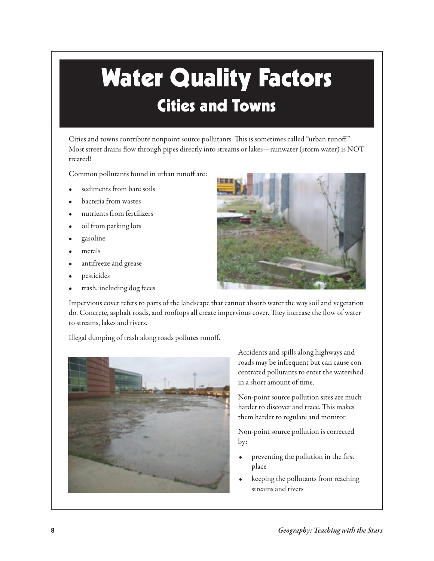# **Water Quality Factors Cities and Towns**

Cities and towns contribute nonpoint source pollutants. This is sometimes called "urban runoff." Most street drains flow through pipes directly into streams or lakes—rainwater (storm water) is NOT treated!

Common pollutants found in urban runoff are:

- sediments from bare soils
- bacteria from wastes
- nutrients from fertilizers
- oil from parking lots
- gasoline
- metals
- antifreeze and grease
- pesticides
- trash, including dog feces



Impervious cover refers to parts of the landscape that cannot absorb water the way soil and vegetation do. Concrete, asphalt roads, and rooftops all create impervious cover. They increase the flow of water to streams, lakes and rivers.

Illegal dumping of trash along roads pollutes runoff.



Accidents and spills along highways and roads may be infrequent but can cause concentrated pollutants to enter the watershed in a short amount of time.

Non-point source pollution sites are much harder to discover and trace. This makes them harder to regulate and monitor.

Non-point source pollution is corrected by:

- preventing the pollution in the first place
- keeping the pollutants from reaching streams and rivers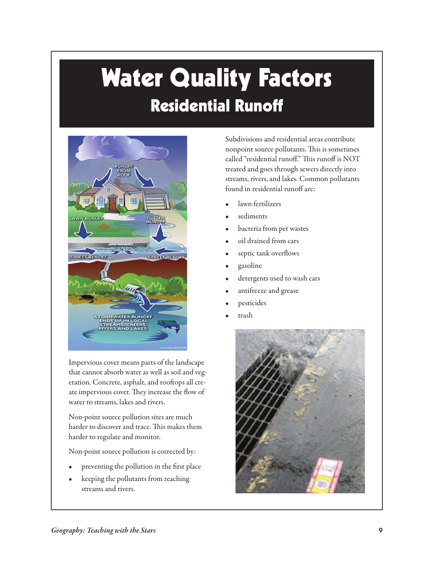# **Water Quality Factors Residential Runoff**



Impervious cover means parts of the landscape that cannot absorb water as well as soil and vegetation. Concrete, asphalt, and rooftops all create impervious cover. They increase the flow of water to streams, lakes and rivers.

Non-point source pollution sites are much harder to discover and trace. This makes them harder to regulate and monitor.

Non-point source pollution is corrected by:

- preventing the pollution in the first place
- keeping the pollutants from reaching streams and rivers.

Subdivisions and residential areas contribute nonpoint source pollutants. This is sometimes called "residential runoff." This runoff is NOT treated and goes through sewers directly into streams, rivers, and lakes. Common pollutants found in residential runoff are:

- lawn fertilizers
- sediments
- bacteria from pet wastes
- oil drained from cars
- septic tank overflows
- gasoline
- detergents used to wash cars
- antifreeze and grease
- pesticides
- trash

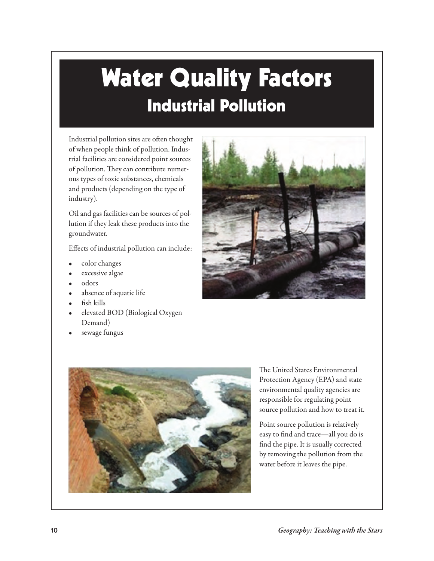# **Water Quality Factors Industrial Pollution**

Industrial pollution sites are often thought of when people think of pollution. Industrial facilities are considered point sources of pollution. They can contribute numerous types of toxic substances, chemicals and products (depending on the type of industry).

Oil and gas facilities can be sources of pollution if they leak these products into the groundwater.

Effects of industrial pollution can include:

- color changes
- excessive algae
- odors
- absence of aquatic life
- fish kills
- elevated BOD (Biological Oxygen Demand)
- sewage fungus





The United States Environmental Protection Agency (EPA) and state environmental quality agencies are responsible for regulating point source pollution and how to treat it.

Point source pollution is relatively easy to find and trace—all you do is find the pipe. It is usually corrected by removing the pollution from the water before it leaves the pipe.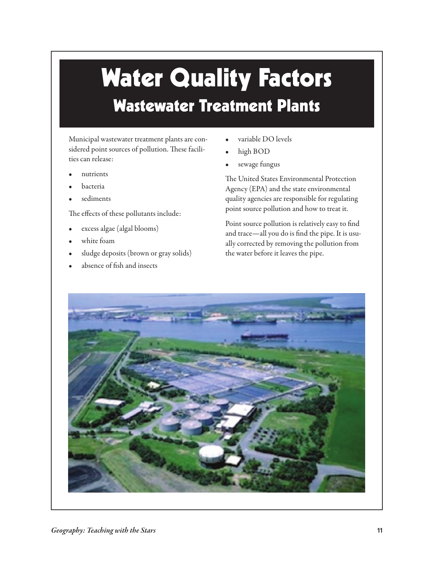## **Water Quality Factors Wastewater Treatment Plants**

Municipal wastewater treatment plants are considered point sources of pollution. These facilities can release:

- nutrients
- bacteria
- sediments

The effects of these pollutants include:

- excess algae (algal blooms)
- white foam
- sludge deposits (brown or gray solids)
- absence of fish and insects
- variable DO levels
- high BOD
- sewage fungus

The United States Environmental Protection Agency (EPA) and the state environmental quality agencies are responsible for regulating point source pollution and how to treat it.

Point source pollution is relatively easy to find and trace—all you do is find the pipe. It is usually corrected by removing the pollution from the water before it leaves the pipe.

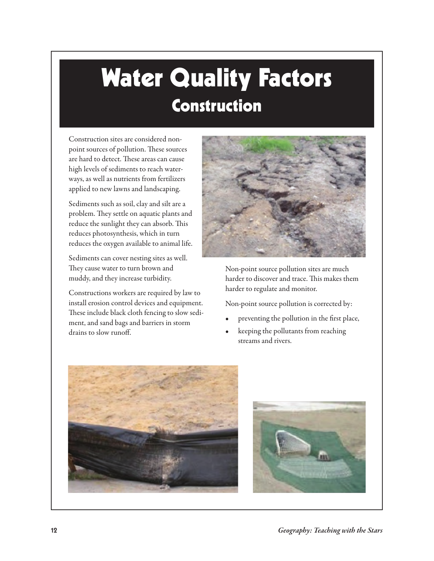## **Water Quality Factors Construction**

Construction sites are considered nonpoint sources of pollution. These sources are hard to detect. These areas can cause high levels of sediments to reach waterways, as well as nutrients from fertilizers applied to new lawns and landscaping.

Sediments such as soil, clay and silt are a problem. They settle on aquatic plants and reduce the sunlight they can absorb. This reduces photosynthesis, which in turn reduces the oxygen available to animal life.

Sediments can cover nesting sites as well. They cause water to turn brown and muddy, and they increase turbidity.

Constructions workers are required by law to install erosion control devices and equipment. These include black cloth fencing to slow sediment, and sand bags and barriers in storm drains to slow runoff.



Non-point source pollution sites are much harder to discover and trace. This makes them harder to regulate and monitor.

Non-point source pollution is corrected by:

- preventing the pollution in the first place,
- keeping the pollutants from reaching streams and rivers.



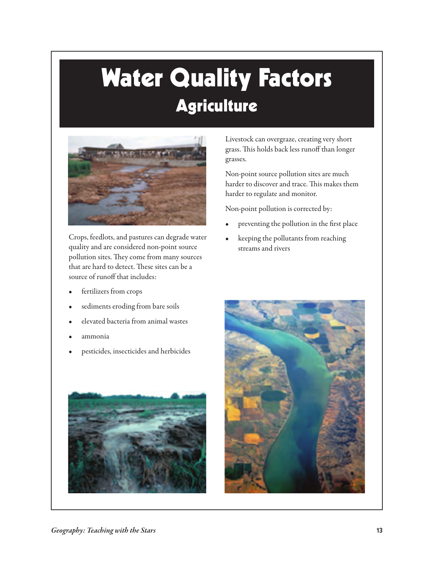# **Water Quality Factors Agriculture**



Crops, feedlots, and pastures can degrade water quality and are considered non-point source pollution sites. They come from many sources that are hard to detect. These sites can be a source of runoff that includes:

- fertilizers from crops
- sediments eroding from bare soils
- elevated bacteria from animal wastes
- ammonia
- pesticides, insecticides and herbicides



Livestock can overgraze, creating very short grass. This holds back less runoff than longer grasses.

Non-point source pollution sites are much harder to discover and trace. This makes them harder to regulate and monitor.

Non-point pollution is corrected by:

- preventing the pollution in the first place
- keeping the pollutants from reaching streams and rivers

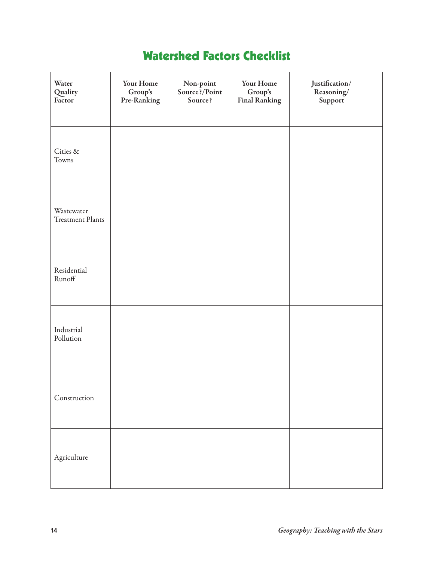### **Watershed Factors Checklist**

| Water<br>Quality<br>Factor     | Your Home<br>Group's<br>Pre-Ranking | Non-point<br>Source?/Point<br>Source? | Your Home<br>$\mbox{Group's}$<br><b>Final Ranking</b> | $\it Justin$<br>$\sf Reasoning/$<br>Support |
|--------------------------------|-------------------------------------|---------------------------------------|-------------------------------------------------------|---------------------------------------------|
| Cities &<br>Towns              |                                     |                                       |                                                       |                                             |
| Wastewater<br>Treatment Plants |                                     |                                       |                                                       |                                             |
| Residential<br>Runoff          |                                     |                                       |                                                       |                                             |
| Industrial<br>Pollution        |                                     |                                       |                                                       |                                             |
| Construction                   |                                     |                                       |                                                       |                                             |
| Agriculture                    |                                     |                                       |                                                       |                                             |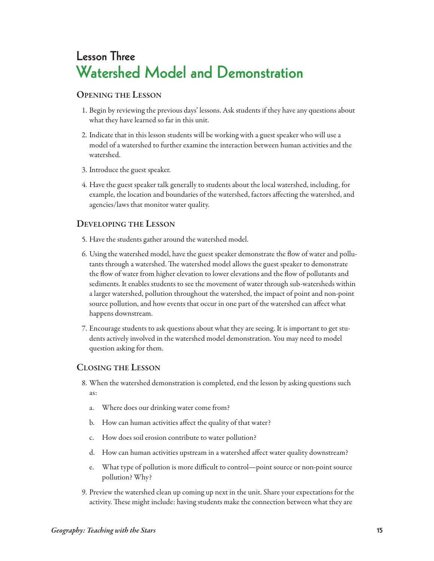## **Lesson Three Watershed Model and Demonstration**

### **openinG the Lesson**

- 1. Begin by reviewing the previous days' lessons. Ask students if they have any questions about what they have learned so far in this unit.
- 2. Indicate that in this lesson students will be working with a guest speaker who will use a model of a watershed to further examine the interaction between human activities and the watershed.
- 3. Introduce the guest speaker.
- 4. Have the guest speaker talk generally to students about the local watershed, including, for example, the location and boundaries of the watershed, factors affecting the watershed, and agencies/laws that monitor water quality.

### **DeveLopinG the Lesson**

- 5. Have the students gather around the watershed model.
- 6. Using the watershed model, have the guest speaker demonstrate the flow of water and pollutants through a watershed. The watershed model allows the guest speaker to demonstrate the flow of water from higher elevation to lower elevations and the flow of pollutants and sediments. It enables students to see the movement of water through sub-watersheds within a larger watershed, pollution throughout the watershed, the impact of point and non-point source pollution, and how events that occur in one part of the watershed can affect what happens downstream.
- 7. Encourage students to ask questions about what they are seeing. It is important to get students actively involved in the watershed model demonstration. You may need to model question asking for them.

### **cLosinG the Lesson**

- 8. When the watershed demonstration is completed, end the lesson by asking questions such as:
	- a. Where does our drinking water come from?
	- b. How can human activities affect the quality of that water?
	- c. How does soil erosion contribute to water pollution?
	- d. How can human activities upstream in a watershed affect water quality downstream?
	- e. What type of pollution is more difficult to control—point source or non-point source pollution? Why?
- 9. Preview the watershed clean up coming up next in the unit. Share your expectations for the activity. These might include: having students make the connection between what they are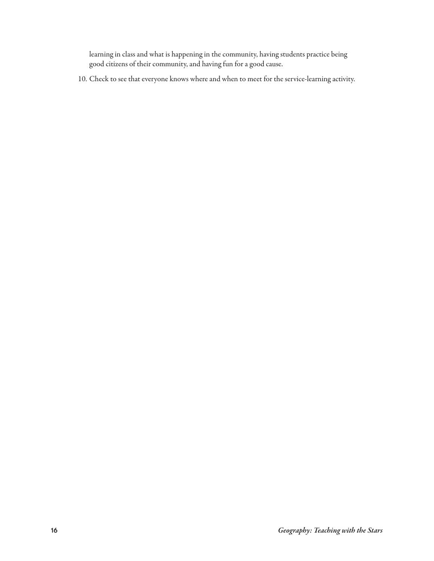learning in class and what is happening in the community, having students practice being good citizens of their community, and having fun for a good cause.

10. Check to see that everyone knows where and when to meet for the service-learning activity.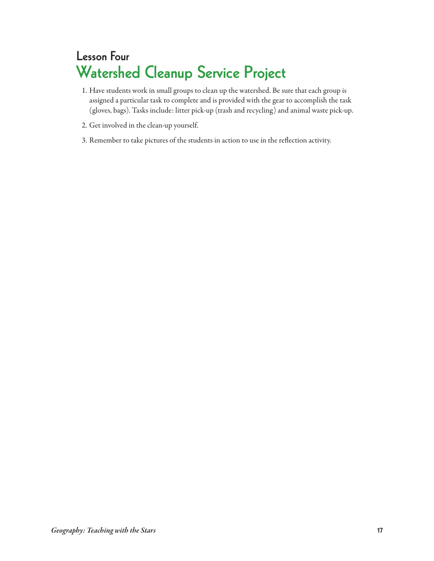## **Lesson Four Watershed Cleanup Service Project**

- 1. Have students work in small groups to clean up the watershed. Be sure that each group is assigned a particular task to complete and is provided with the gear to accomplish the task (gloves, bags). Tasks include: litter pick-up (trash and recycling) and animal waste pick-up.
- 2. Get involved in the clean-up yourself.
- 3. Remember to take pictures of the students in action to use in the reflection activity.